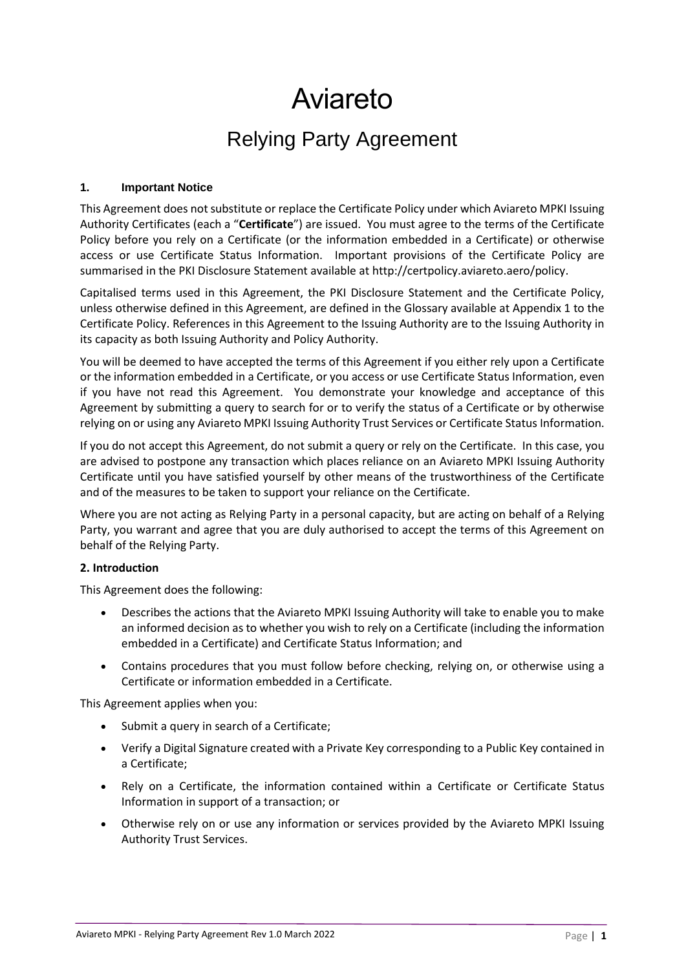# Aviareto

# Relying Party Agreement

# **1. Important Notice**

This Agreement does not substitute or replace the Certificate Policy under which Aviareto MPKI Issuing Authority Certificates (each a "**Certificate**") are issued. You must agree to the terms of the Certificate Policy before you rely on a Certificate (or the information embedded in a Certificate) or otherwise access or use Certificate Status Information. Important provisions of the Certificate Policy are summarised in the PKI Disclosure Statement available at http://certpolicy.aviareto.aero/policy.

Capitalised terms used in this Agreement, the PKI Disclosure Statement and the Certificate Policy, unless otherwise defined in this Agreement, are defined in the Glossary available at Appendix 1 to the Certificate Policy. References in this Agreement to the Issuing Authority are to the Issuing Authority in its capacity as both Issuing Authority and Policy Authority.

You will be deemed to have accepted the terms of this Agreement if you either rely upon a Certificate or the information embedded in a Certificate, or you access or use Certificate Status Information, even if you have not read this Agreement. You demonstrate your knowledge and acceptance of this Agreement by submitting a query to search for or to verify the status of a Certificate or by otherwise relying on or using any Aviareto MPKI Issuing Authority Trust Services or Certificate Status Information.

If you do not accept this Agreement, do not submit a query or rely on the Certificate. In this case, you are advised to postpone any transaction which places reliance on an Aviareto MPKI Issuing Authority Certificate until you have satisfied yourself by other means of the trustworthiness of the Certificate and of the measures to be taken to support your reliance on the Certificate.

Where you are not acting as Relying Party in a personal capacity, but are acting on behalf of a Relying Party, you warrant and agree that you are duly authorised to accept the terms of this Agreement on behalf of the Relying Party.

# **2. Introduction**

This Agreement does the following:

- Describes the actions that the Aviareto MPKI Issuing Authority will take to enable you to make an informed decision as to whether you wish to rely on a Certificate (including the information embedded in a Certificate) and Certificate Status Information; and
- Contains procedures that you must follow before checking, relying on, or otherwise using a Certificate or information embedded in a Certificate.

This Agreement applies when you:

- Submit a query in search of a Certificate;
- Verify a Digital Signature created with a Private Key corresponding to a Public Key contained in a Certificate;
- Rely on a Certificate, the information contained within a Certificate or Certificate Status Information in support of a transaction; or
- Otherwise rely on or use any information or services provided by the Aviareto MPKI Issuing Authority Trust Services.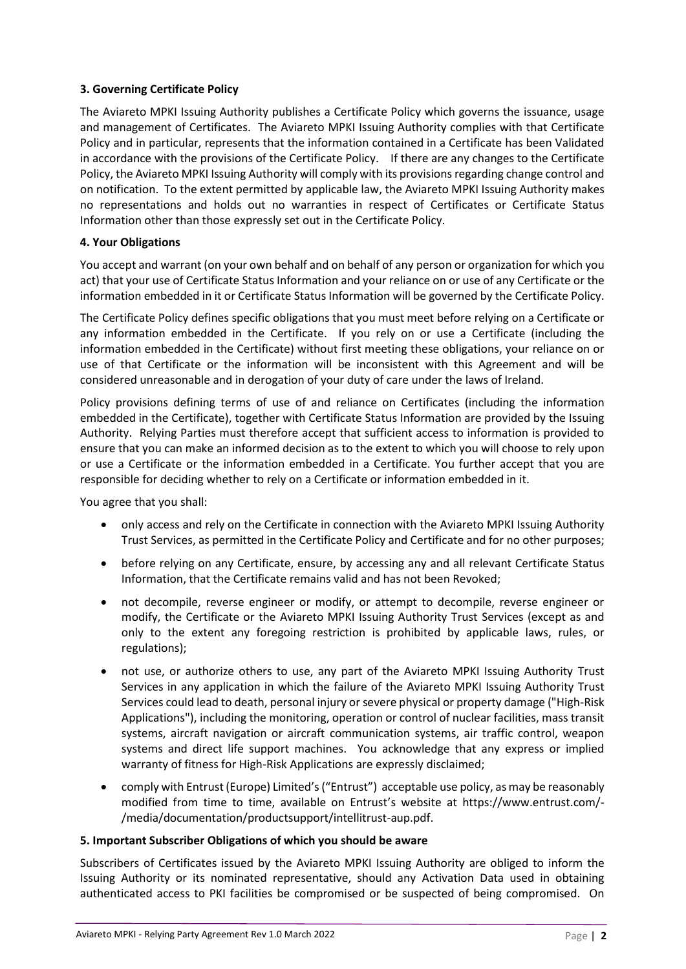# **3. Governing Certificate Policy**

The Aviareto MPKI Issuing Authority publishes a Certificate Policy which governs the issuance, usage and management of Certificates. The Aviareto MPKI Issuing Authority complies with that Certificate Policy and in particular, represents that the information contained in a Certificate has been Validated in accordance with the provisions of the Certificate Policy. If there are any changes to the Certificate Policy, the Aviareto MPKI Issuing Authority will comply with its provisions regarding change control and on notification. To the extent permitted by applicable law, the Aviareto MPKI Issuing Authority makes no representations and holds out no warranties in respect of Certificates or Certificate Status Information other than those expressly set out in the Certificate Policy.

# **4. Your Obligations**

You accept and warrant (on your own behalf and on behalf of any person or organization for which you act) that your use of Certificate Status Information and your reliance on or use of any Certificate or the information embedded in it or Certificate Status Information will be governed by the Certificate Policy.

The Certificate Policy defines specific obligations that you must meet before relying on a Certificate or any information embedded in the Certificate. If you rely on or use a Certificate (including the information embedded in the Certificate) without first meeting these obligations, your reliance on or use of that Certificate or the information will be inconsistent with this Agreement and will be considered unreasonable and in derogation of your duty of care under the laws of Ireland.

Policy provisions defining terms of use of and reliance on Certificates (including the information embedded in the Certificate), together with Certificate Status Information are provided by the Issuing Authority. Relying Parties must therefore accept that sufficient access to information is provided to ensure that you can make an informed decision as to the extent to which you will choose to rely upon or use a Certificate or the information embedded in a Certificate. You further accept that you are responsible for deciding whether to rely on a Certificate or information embedded in it.

You agree that you shall:

- only access and rely on the Certificate in connection with the Aviareto MPKI Issuing Authority Trust Services, as permitted in the Certificate Policy and Certificate and for no other purposes;
- before relying on any Certificate, ensure, by accessing any and all relevant Certificate Status Information, that the Certificate remains valid and has not been Revoked;
- not decompile, reverse engineer or modify, or attempt to decompile, reverse engineer or modify, the Certificate or the Aviareto MPKI Issuing Authority Trust Services (except as and only to the extent any foregoing restriction is prohibited by applicable laws, rules, or regulations);
- not use, or authorize others to use, any part of the Aviareto MPKI Issuing Authority Trust Services in any application in which the failure of the Aviareto MPKI Issuing Authority Trust Services could lead to death, personal injury or severe physical or property damage ("High-Risk Applications"), including the monitoring, operation or control of nuclear facilities, mass transit systems, aircraft navigation or aircraft communication systems, air traffic control, weapon systems and direct life support machines. You acknowledge that any express or implied warranty of fitness for High-Risk Applications are expressly disclaimed;
- comply with Entrust (Europe) Limited's ("Entrust") acceptable use policy, as may be reasonably modified from time to time, available on Entrust's website at https://www.entrust.com/- /media/documentation/productsupport/intellitrust-aup.pdf.

# **5. Important Subscriber Obligations of which you should be aware**

Subscribers of Certificates issued by the Aviareto MPKI Issuing Authority are obliged to inform the Issuing Authority or its nominated representative, should any Activation Data used in obtaining authenticated access to PKI facilities be compromised or be suspected of being compromised. On